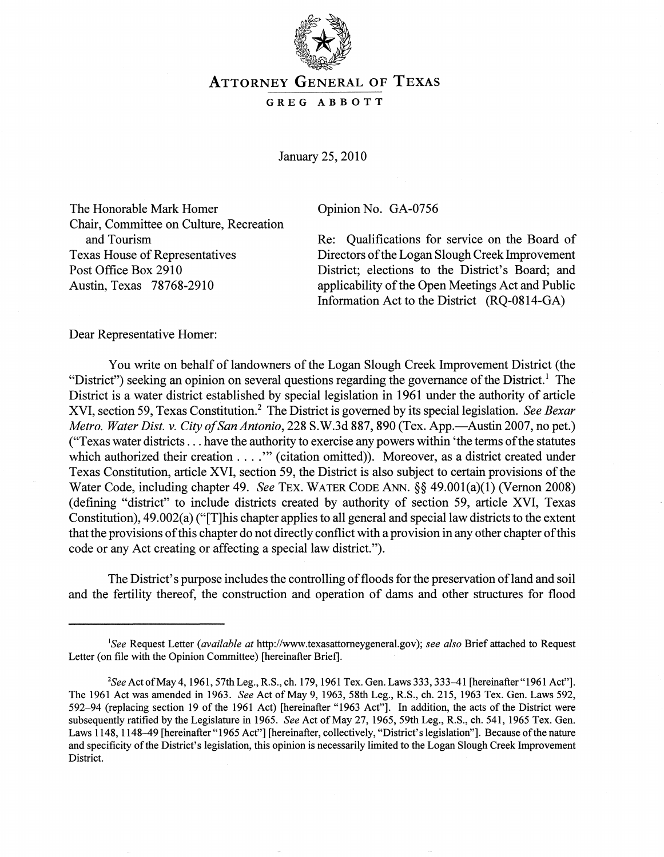

## ATTORNEY GENERAL OF TEXAS

## GREG ABBOTT

January 25,2010

The Honorable Mark Homer Copinion No. GA-0756 Chair, Committee on Culture, Recreation and Tourism Texas House of Representatives Post Office Box 2910 Austin, Texas 78768-2910

Re: Qualifications for service on the Board of Directors of the Logan Slough Creek Improvement District; elections to the District's Board; and applicability of the Open Meetings Act and Public Information Act to the District (RQ-0814-GA)

Dear Representative Homer:

You write on behalf of landowners of the Logan Slough Creek Improvement District (the "District") seeking an opinion on several questions regarding the governance of the District.<sup>1</sup> The District is a water district established by special legislation in 1961 under the authority of article XVI, section 59, Texas Constitution.2 The District is governed by its special legislation. *See Bexar Metro. Water Dist. v. City of San Antonio,* 228 S.W.3d 887, 890 (Tex. App.—Austin 2007, no pet.) ("Texas water districts ... have the authority to exercise any powers within 'the terms of the statutes which authorized their creation . . . ." (citation omitted)). Moreover, as a district created under Texas Constitution, article XVI, section 59, the District is also subject to certain provisions of the Water Code, including chapter 49. *See* TEx. WATER CODE ANN. §§ 49.001(a)(1) (Vernon 2008) (defining "district" to include districts created by authority of section 59, article XVI, Texas Constitution), 49.002(a) ("[T]his chapter applies to all general and special law districts to the extent that the provisions ofthis chapter do not directly conflict with a provision in any other chapter of this code or any Act creating or affecting a special law district.").

The District's purpose includes the controlling of floods for the preservation of land and soil and the fertility thereof, the construction and operation of dams and other structures for flood

*ISee* Request Letter *(available at* http://www.texasattomeygeneral.gov); *see also* Brief attached to Request Letter (on file with the Opinion Committee) [hereinafter Brief].

*<sup>2</sup>See* Act of May 4, 1961, 57th Leg., R.S., ch. 179, 1961 Tex. Gen. Laws 333, 333-41 [hereinafter "1961 Act"]. The 1961 Act was amended in 1963. *See* Act of May 9, 1963, 58th Leg., R.S., ch. 215, 1963 Tex. Gen. Laws 592, 592-94 (replacing section 19 of the 1961 Act) [hereinafter "1963 Act"]. In addition, the acts of the District were subsequently ratified by the Legislature in 1965. *See* Act of May 27, 1965, 59th Leg., R.S., ch. 541, 1965 Tex. Gen. Laws 1148, 1148-49 [hereinafter "1965 Act"] [hereinafter, collectively, "District's legislation"]. Because of the nature and specificity of the District's legislation, this opinion is necessarily limited to the Logan Slough Creek Improvement District.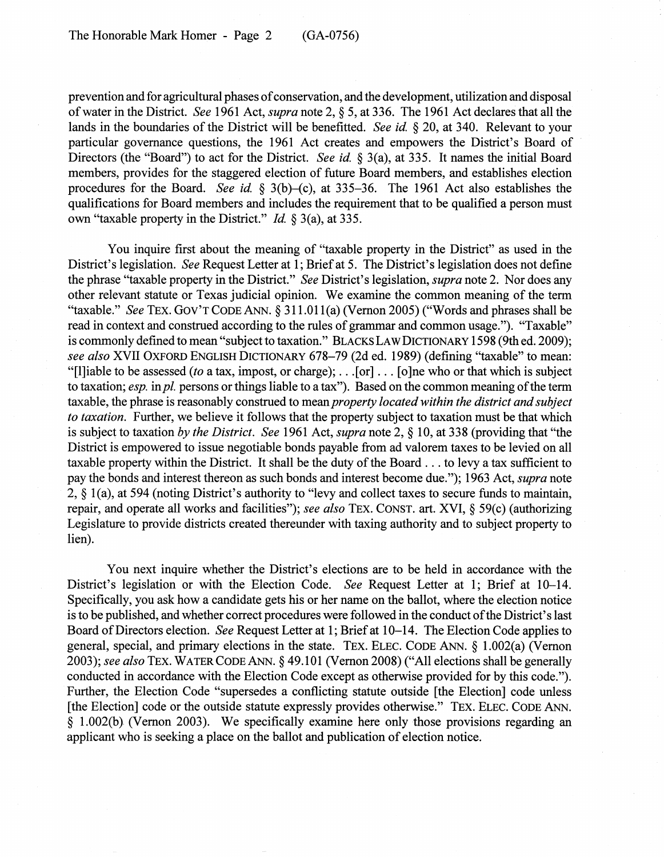prevention and for agricultural phases of conservation, and the development, utilization and disposal of water in the District. *See* 1961 Act, *supra* note 2, § 5, at 336. The 1961 Act declares that all the lands in the boundaries of the District will be benefitted. *See id* § 20, at 340. Relevant to your particular governance questions, the 1961 Act creates and empowers the District's Board of Directors (the "Board") to act for the District. *See id* § 3(a), at 335. It names the initial Board members, provides for the staggered election of future Board members, and establishes election procedures for the Board. *See id.* § 3(b)–(c), at 335–36. The 1961 Act also establishes the qualifications for Board members and includes the requirement that to be qualified a person must own "taxable property in the District." *Id* § 3(a), at 335.

You inquire first about the meaning of "taxable property in the District" as used in the District's legislation. *See* Request Letter at 1; Brief at 5. The District's legislation does not define the phrase "taxable property in the District." *See* District's legislation, *supra* note 2. Nor does any other relevant statute or Texas judicial opinion. We examine the common meaning of the term "taxable." *See* TEx. GOV'T CODE ANN. § 311.011(a) (Vernon 2005) ("Words and phrases shall be read in context and construed according to the rules of grammar and common usage."). "Taxable" is commonly defined to mean "subject to taxation." BLACKS LAW DICTIONARY 1598 (9th ed. 2009); *see also* XVII OXFORD ENGLISH DICTIONARY 678-79 (2d ed. 1989) (defining "taxable" to mean: "[l]iable to be assessed *(to* a tax, impost, or charge); ... [or] ... [o]ne who or that which is subject to taxation; *esp.* in *pl.* persons or things liable to a tax"). Based on the common meaning of the term taxable, the phrase is reasonably construed to mean *property located within the district and sub} ect to taxation.* Further, we believe it follows that the property subject to taxation must be that which is subject to taxation *by the District. See* 1961 Act, *supra* note 2, § 10, at 338 (providing that "the District is empowered to issue negotiable bonds payable from ad valorem taxes to be levied on all taxable property within the District. It shall be the duty of the Board ... to levy a tax sufficient to pay the bonds and interest thereon as such bonds and interest become due."); 1963 Act, *supra* note 2, § l(a), at 594 (noting District's authority to "levy and collect taxes to secure funds to maintain, repair, and operate all works and facilities"); *see also* TEx. CONST. art. XVI, § 59(c) (authorizing Legislature to provide districts created thereunder with taxing authority and to subject property to lien).

You next inquire whether the District's elections are to be held in accordance with the District's legislation or with the Election Code. *See* Request Letter at 1; Brief at 10-14. Specifically, you ask how a candidate gets his or her name on the ballot, where the election notice is to be published, and whether correct procedures were followed in the conduct of the District's last Board of Directors election. *See* Request Letter at 1; Brief at 10-14. The Election Code applies to general, special, and primary elections in the state. TEx. ELEC. CODE ANN. § 1.002(a) (Vernon *2003); see also* TEx. WATER CODE ANN. § 49.101 (Vernon 2008) ("All elections shall be generally conducted in accordance with the Election Code except as otherwise provided for by this code."). Further, the Election Code "supersedes a conflicting statute outside [the Election] code unless [the Election] code or the outside statute expressly provides otherwise." TEX. ELEC. CODE ANN. § 1.002(b) (Vernon 2003). We specifically examine here only those provisions regarding an applicant who is seeking a place on the ballot and publication of election notice.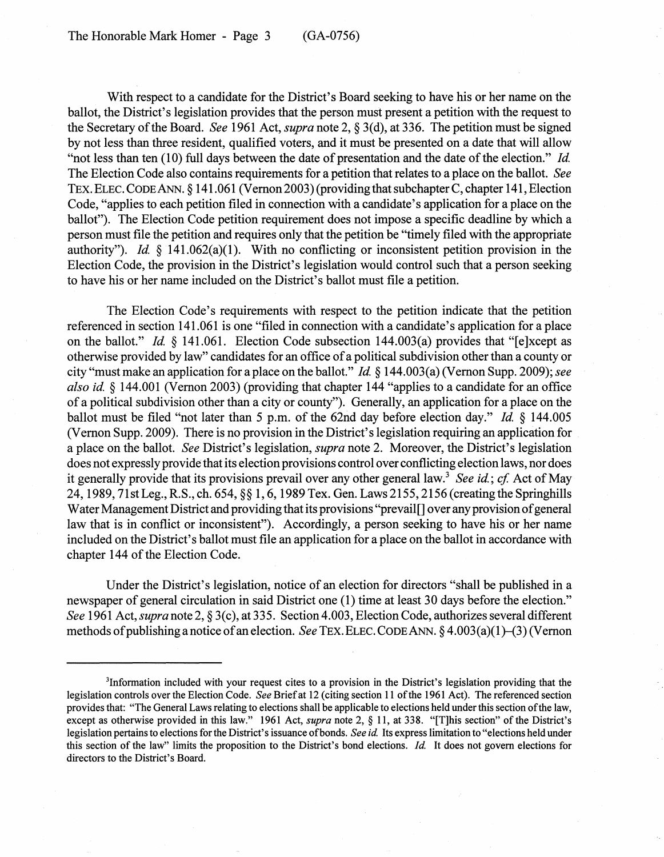With respect to a candidate for the District's Board seeking to have his or her name on the ballot, the District's legislation provides that the person must present a petition with the request to the Secretary of the Board. *See* 1961 Act, *supra* note 2, § 3(d), at 336. The petition must be signed by not less than three resident, qualified voters, and it must be presented on a date that will allow "not less than ten (10) full days between the date of presentation and the date of the election." *Id*  The Election Code also contains requirements for a petition that relates to a place on the ballot. *See*  TEx. ELEC. CODE ANN. § 141.061 (Vernon 2003) (providing that subchapter C, chapter 141, Election Code, "applies to each petition filed in connection with a candidate's application for a place on the ballot"). The Election Code petition requirement does not impose a specific deadline by which a person must file the petition and requires only that the petition be "timely filed with the appropriate authority"). *Id* § 141.062(a)(1). With no conflicting or inconsistent petition provision in the Election Code, the provision in the District's legislation would control such that a person seeking to have his or her name included on the District's ballot must file a petition.

The Election Code's requirements with respect to the petition indicate that the petition referenced in section 141.061 is one "filed in connection with a candidate's application for a place on the ballot." *Id* § 141.061. Election Code subsection 144.003(a) provides that "[e]xcept as otherwise provided by law" candidates for an office of a political subdivision other than a county or city "must make an application for a place on the ballot." *Id* § 144.003(a) (Vernon Supp. 2009); *see also id* § 144.001 (Vernon 2003) (providing that chapter 144 "applies to a candidate for an office of a political subdivision other than a city or county"). Generally, an application for a place on the ballot must be filed "not later than 5 p.m. of the 62nd day before election day." *Id.* § 144.005 (Vernon Supp. 2009). There is no provision in the District's legislation requiring an application for a place on the ballot. *See* District's legislation, *supra* note 2. Moreover, the District's legislation does not expressly provide that its election provisions control over conflicting election laws, nor does it generally provide that its provisions prevail over any other general law. 3 *See id; cf* Act of May 24,1989, 71stLeg., R.S., ch. 654, §§ 1,6,1989 Tex. Gen. Laws 2155, 2156 (creating the Springhills Water Management District and providing that its provisions "prevail [] over any provision of general law that is in conflict or inconsistent"). Accordingly, a person seeking to have his or her name included on the District's ballot must file an application for a place on the ballot in accordance with chapter 144 of the Election Code.

Under the District's legislation, notice of an election for directors "shall be published in a newspaper of general circulation in said District one (1) time at least 30 days before the election." *See* 1961 Act, *supra* note 2, § 3(c), at 335. Section 4.003, Election Code, authorizes several different methods of publishing a notice of an election. *See* TEx.ELEC. CODE ANN. § 4.003(a)(1)-(3) (Vernon

<sup>3</sup>Information included with your request cites to a provision in the District's legislation providing that the legislation controls over the Election Code. *See* Brief at 12 (citing section 11 of the 1961 Act). The referenced section provides that: "The General Laws relating to elections shall be applicable to elections held under this section of the law, except as otherwise provided in this law." 1961 Act, *supra* note 2, § 11, at 338. "[T]his section" of the District's legislation pertains to elections for the District's issuance of bonds. *See id* Its express limitation to "elections held under this section of the law" limits the proposition to the District's bond elections. *Id* It does not govern elections for directors to the District's Board.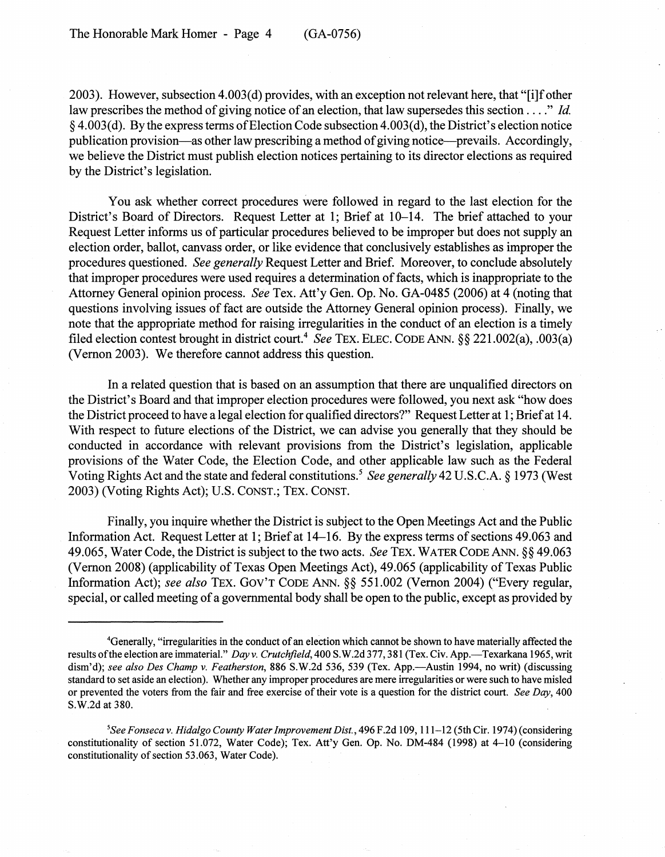2003). However, subsection 4.003(d) provides, with an exception not relevant here, that "[i]f other law prescribes the method of giving notice of an election, that law supersedes this section .... " *Id.*   $§$  4.003(d). By the express terms of Election Code subsection 4.003(d), the District's election notice publication provision-as other law prescribing a method of giving notice-prevails. Accordingly, we believe the District must publish election notices pertaining to its director elections as required by the District's legislation.

You ask whether correct procedures were followed in regard to the last election for the District's Board of Directors. Request Letter at 1; Brief at 10-14. The brief attached to your Request Letter informs us of particular procedures believed to be improper but does not supply an election order, ballot, canvass order, or like evidence that conclusively establishes as improper the procedures questioned. *See generally* Request Letter and Brief. Moreover, to conclude absolutely that improper procedures were used requires a determination of facts, which is inappropriate to the Attorney General opinion process. *See* Tex. Att'y Gen. Op. No. GA-0485 (2006) at 4 (noting that questions involving issues of fact are outside the Attorney General opinion process). Finally, we note that the appropriate method for raising irregularities in the conduct of an election is a timely filed election contest brought in district court.4 *See* TEx. ELEC. CODE ANN. §§ 221.002(a), .003(a) (Vernon 2003). We therefore cannot address this question.

In a related question that is based on an assumption that there are unqualified directors on the District's Board and that improper election procedures were followed, you next ask "how does the District proceed to have a legal election for qualified directors?" Request Letter at 1; Brief at 14. With respect to future elections of the District, we can advise you generally that they should be conducted in accordance with relevant provisions from the District's legislation, applicable provisions of the Water Code, the Election Code, and other applicable law such as the Federal Voting Rights Act and the state and federal constitutions.<sup>5</sup> See generally 42 U.S.C.A. § 1973 (West 2003) (Voting Rights Act); U.S. CONST.; TEx. CONST.

Finally, you inquire whether the District is subject to the Open Meetings Act and the Public Information Act. Request Letter at 1; Brief at 14-16. By the express terms of sections 49.063 and 49.065, Water Code, the District is subject to the two acts. *See* TEx. WATER CODE ANN. §§ 49.063 (Vernon 2008) (applicability of Texas Open Meetings Act), 49.065 (applicability of Texas Public Information Act); *see also* TEx. GOV'T CODE ANN. §§ 551.002 (Vernon 2004) ("Every regular, special, or called meeting of a governmental body shall be open to the public, except as provided by

<sup>4</sup>Generally, "irregularities in the conduct of an election which cannot be shown to have materially affected the results of the election are immaterial." *Day v. Crutchfield*, 400 S.W.2d 377, 381 (Tex. Civ. App.—Texarkana 1965, writ dism'd); see also Des Champ v. Featherston, 886 S.W.2d 536, 539 (Tex. App.—Austin 1994, no writ) (discussing standard to set aside an election). Whether any improper procedures are mere irregularities or were such to have misled or prevented the voters from the fair and free exercise of their vote is a question for the district court. *See Day, 400*  S.W.2d at 380.

<sup>&</sup>lt;sup>5</sup>See Fonseca v. Hidalgo County Water Improvement Dist., 496 F.2d 109, 111-12 (5th Cir. 1974) (considering constitutionality of section 51.072, Water Code); Tex. Att'y Gen. Op. No. DM-484 (1998) at 4-10 (considering constitutionality of section 53.063, Water Code).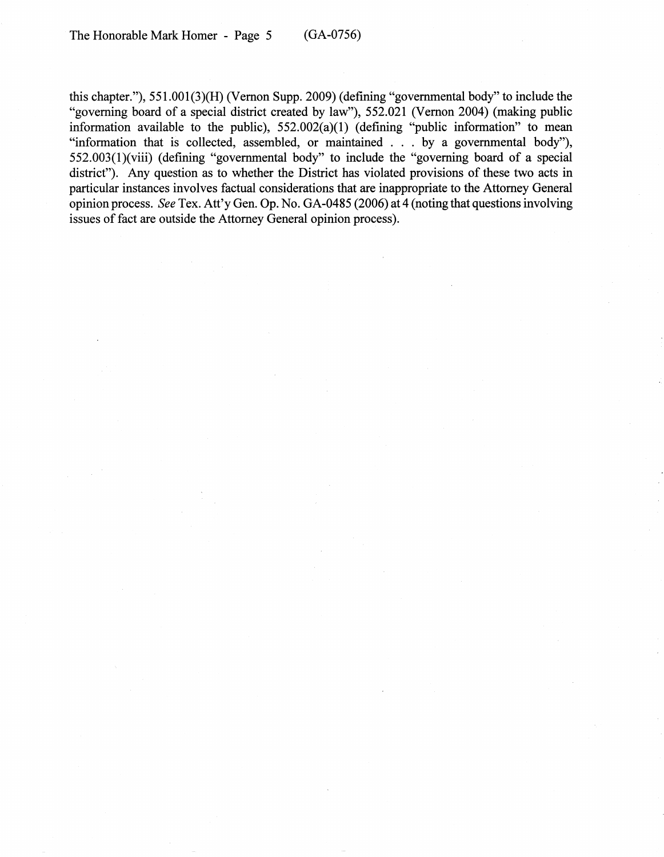this chapter."),  $551.001(3)(H)$  (Vernon Supp. 2009) (defining "governmental body" to include the "governing board of a special district created by law"), 552.021 (Vernon 2004) (making public information available to the public), 552.002(a)(1) (defining "public information" to mean "information that is collected, assembled, or maintained . . . by a governmental body"), 552.003(1)(viii) (defining "governmental body" to include the "governing board of a special district"). Any question as to whether the District has violated provisions of these two acts in particular instances involves factual considerations that are inappropriate to the Attorney General opinion process. *See* Tex. Att'y Gen. Op. No. GA-0485 (2006) at 4 (noting that questions involving issues of fact are outside the Attorney General opinion process).